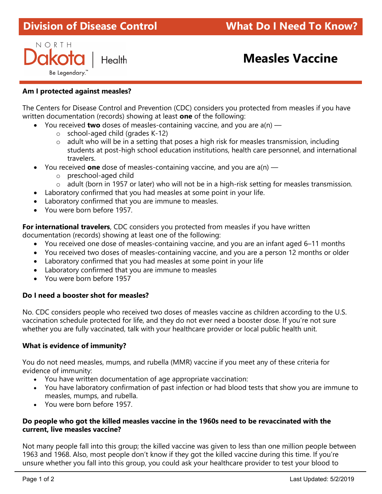# **Division of Disease Control** ł

NORTH Be Legendary.

# Health **Measles Vaccine**

### Am I protected against measles?

The Centers for Disease Control and Prevention (CDC) considers you protected from measles if you have written documentation (records) showing at least one of the following:

- You received **two** doses of measles-containing vaccine, and you are  $a(n)$ 
	- $\circ$  school-aged child (grades K-12)
	- $\circ$  adult who will be in a setting that poses a high risk for measles transmission, including students at post-high school education institutions, health care personnel, and international travelers.
- You received **one** dose of measles-containing vaccine, and you are  $a(n)$ 
	- o preschool-aged child
	- o adult (born in 1957 or later) who will not be in a high-risk setting for measles transmission.
- Laboratory confirmed that you had measles at some point in your life.
- Laboratory confirmed that you are immune to measles.
- You were born before 1957.

For international travelers, CDC considers you protected from measles if you have written documentation (records) showing at least one of the following:

- You received one dose of measles-containing vaccine, and you are an infant aged 6–11 months
- You received two doses of measles-containing vaccine, and you are a person 12 months or older
- Laboratory confirmed that you had measles at some point in your life
- Laboratory confirmed that you are immune to measles
- You were born before 1957

#### Do I need a booster shot for measles?

No. CDC considers people who received two doses of measles vaccine as children according to the U.S. vaccination schedule protected for life, and they do not ever need a booster dose. If you're not sure whether you are fully vaccinated, talk with your healthcare provider or local public health unit.

#### What is evidence of immunity?

You do not need measles, mumps, and rubella (MMR) vaccine if you meet any of these criteria for evidence of immunity:

- You have written documentation of age appropriate vaccination:
- You have laboratory confirmation of past infection or had blood tests that show you are immune to measles, mumps, and rubella.
- You were born before 1957.

#### Do people who got the killed measles vaccine in the 1960s need to be revaccinated with the current, live measles vaccine?

Not many people fall into this group; the killed vaccine was given to less than one million people between 1963 and 1968. Also, most people don't know if they got the killed vaccine during this time. If you're unsure whether you fall into this group, you could ask your healthcare provider to test your blood to